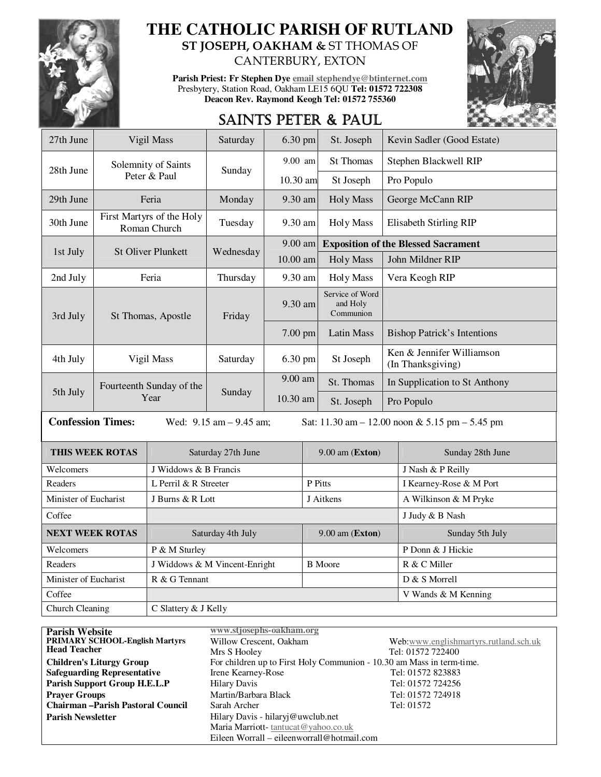

Church Cleaning C Slattery & J Kelly

# **THE CATHOLIC PARISH OF RUTLAND ST JOSEPH, OAKHAM &** ST THOMAS OF

CANTERBURY, EXTON **Parish Priest: Fr Stephen Dye email stephendye@btinternet.com**

Presbytery, Station Road, Oakham LE15 6QU **Tel: 01572 722308 Deacon Rev. Raymond Keogh Tel: 01572 755360** 



## SAINTS PETER & PAUL

| 27th June                                                                                                       |                                           | Vigil Mass                    | Saturday  | $6.30$ pm |                                | St. Joseph                                 | Kevin Sadler (Good Estate)                     |
|-----------------------------------------------------------------------------------------------------------------|-------------------------------------------|-------------------------------|-----------|-----------|--------------------------------|--------------------------------------------|------------------------------------------------|
|                                                                                                                 |                                           | Solemnity of Saints           |           | 9.00 am   |                                | <b>St Thomas</b>                           | Stephen Blackwell RIP                          |
| 28th June                                                                                                       | Peter & Paul                              |                               | Sunday    | 10.30 am  |                                | St Joseph                                  | Pro Populo                                     |
| 29th June                                                                                                       | Feria                                     |                               | Monday    | 9.30 am   |                                | <b>Holy Mass</b>                           | George McCann RIP                              |
| 30th June                                                                                                       | First Martyrs of the Holy<br>Roman Church |                               | Tuesday   | 9.30 am   |                                | <b>Holy Mass</b>                           | <b>Elisabeth Stirling RIP</b>                  |
| 1st July                                                                                                        |                                           |                               | Wednesday | 9.00 am   |                                | <b>Exposition of the Blessed Sacrament</b> |                                                |
|                                                                                                                 | <b>St Oliver Plunkett</b>                 |                               |           | 10.00 am  |                                | <b>Holy Mass</b>                           | John Mildner RIP                               |
| 2nd July                                                                                                        | Feria                                     |                               | Thursday  | 9.30 am   |                                | <b>Holy Mass</b>                           | Vera Keogh RIP                                 |
| 3rd July                                                                                                        | St Thomas, Apostle                        |                               | Friday    | 9.30 am   |                                | Service of Word<br>and Holy<br>Communion   |                                                |
|                                                                                                                 |                                           |                               |           |           | $7.00$ pm<br><b>Latin Mass</b> |                                            | <b>Bishop Patrick's Intentions</b>             |
| 4th July                                                                                                        | Vigil Mass                                |                               | Saturday  | 6.30 pm   |                                | St Joseph                                  | Ken & Jennifer Williamson<br>(In Thanksgiving) |
|                                                                                                                 | Fourteenth Sunday of the<br>Year          |                               | Sunday    | 9.00 am   |                                | St. Thomas                                 | In Supplication to St Anthony                  |
| 5th July                                                                                                        |                                           |                               |           | 10.30 am  |                                | St. Joseph                                 | Pro Populo                                     |
| <b>Confession Times:</b><br>Wed: $9.15$ am $- 9.45$ am;<br>Sat: $11.30$ am $- 12.00$ noon & 5.15 pm $- 5.45$ pm |                                           |                               |           |           |                                |                                            |                                                |
| THIS WEEK ROTAS                                                                                                 |                                           | Saturday 27th June            |           |           |                                | 9.00 am (Exton)                            | Sunday 28th June                               |
| Welcomers                                                                                                       |                                           | J Widdows & B Francis         |           |           |                                |                                            | J Nash & P Reilly                              |
| Readers                                                                                                         |                                           | L Perril & R Streeter         |           |           | P Pitts                        |                                            | I Kearney-Rose & M Port                        |
| Minister of Eucharist                                                                                           |                                           | J Burns & R Lott              |           |           | J Aitkens                      |                                            | A Wilkinson & M Pryke                          |
| Coffee                                                                                                          |                                           |                               |           |           |                                |                                            | J Judy & B Nash                                |
| <b>NEXT WEEK ROTAS</b>                                                                                          |                                           | Saturday 4th July             |           |           |                                | 9.00 am (Exton)                            | Sunday 5th July                                |
| Welcomers                                                                                                       |                                           | P & M Sturley                 |           |           |                                |                                            | P Donn & J Hickie                              |
| Readers                                                                                                         |                                           | J Widdows & M Vincent-Enright |           |           |                                | <b>B</b> Moore                             | R & C Miller                                   |
| Minister of Eucharist                                                                                           |                                           | R & G Tennant                 |           |           |                                |                                            | D & S Morrell                                  |
| Coffee                                                                                                          |                                           |                               |           |           |                                |                                            | V Wands & M Kenning                            |

| <b>Parish Website</b>                     | www.stjosephs-oakham.org                                              |                                       |  |  |  |
|-------------------------------------------|-----------------------------------------------------------------------|---------------------------------------|--|--|--|
| <b>PRIMARY SCHOOL-English Martyrs</b>     | Willow Crescent, Oakham                                               | Web:www.englishmartyrs.rutland.sch.uk |  |  |  |
| <b>Head Teacher</b>                       | Mrs S Hooley                                                          | Tel: 01572 722400                     |  |  |  |
| <b>Children's Liturgy Group</b>           | For children up to First Holy Communion - 10.30 am Mass in term-time. |                                       |  |  |  |
| <b>Safeguarding Representative</b>        | <b>Irene Kearney-Rose</b>                                             | Tel: 01572 823883                     |  |  |  |
| Parish Support Group H.E.L.P              | <b>Hilary Davis</b>                                                   | Tel: 01572 724256                     |  |  |  |
| <b>Prayer Groups</b>                      | Martin/Barbara Black                                                  | Tel: 01572 724918                     |  |  |  |
| <b>Chairman – Parish Pastoral Council</b> | Sarah Archer                                                          | Tel: 01572                            |  |  |  |
| <b>Parish Newsletter</b>                  | Hilary Davis - hilaryj@uwclub.net                                     |                                       |  |  |  |
|                                           | Maria Marriott-tantucat@yahoo.co.uk                                   |                                       |  |  |  |
|                                           | Eileen Worrall – eileenworrall@hotmail.com                            |                                       |  |  |  |